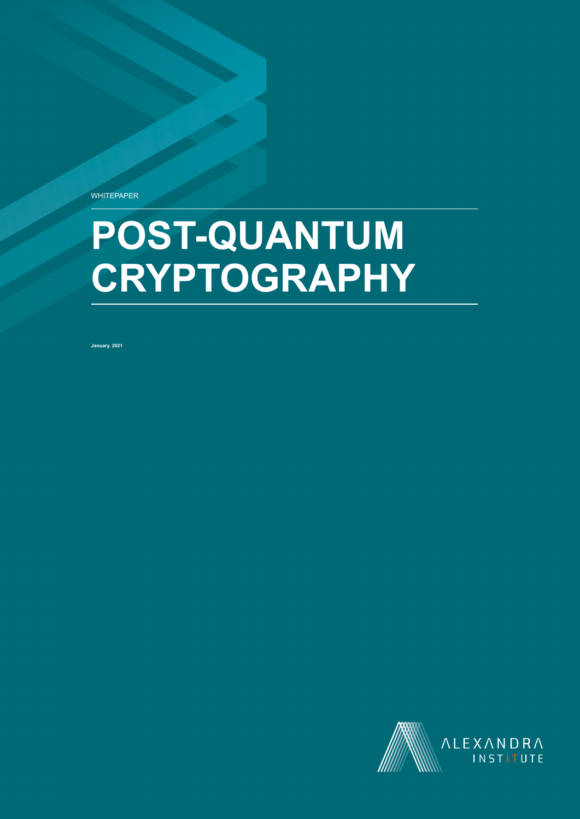**WHITEPAPER** 

# POST-QUANTUM **CRYPTOGRAPHY**

**January, 2021**

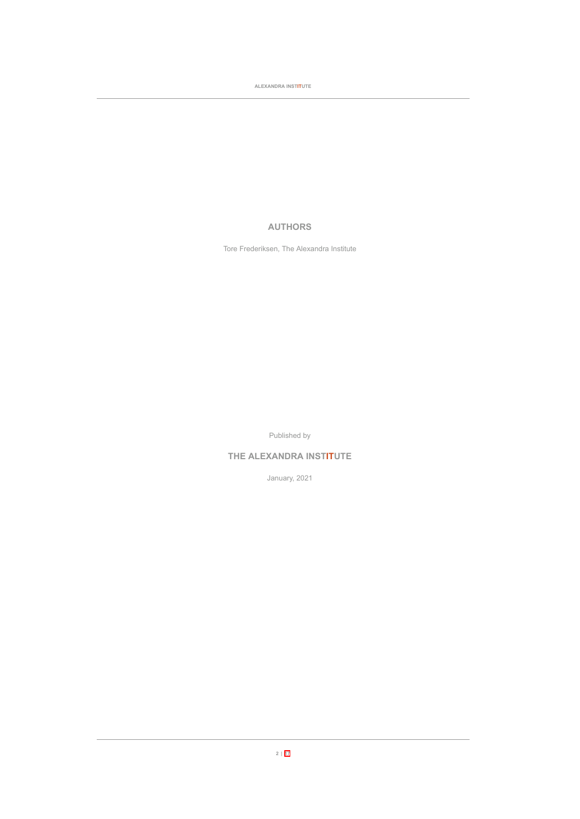**ALEXANDRA INSTITUTE**

# **AUTHORS**

Tore Frederiksen, The Alexandra Institute

Published by

# **THE ALEXANDRA INSTITUTE**

January, 2021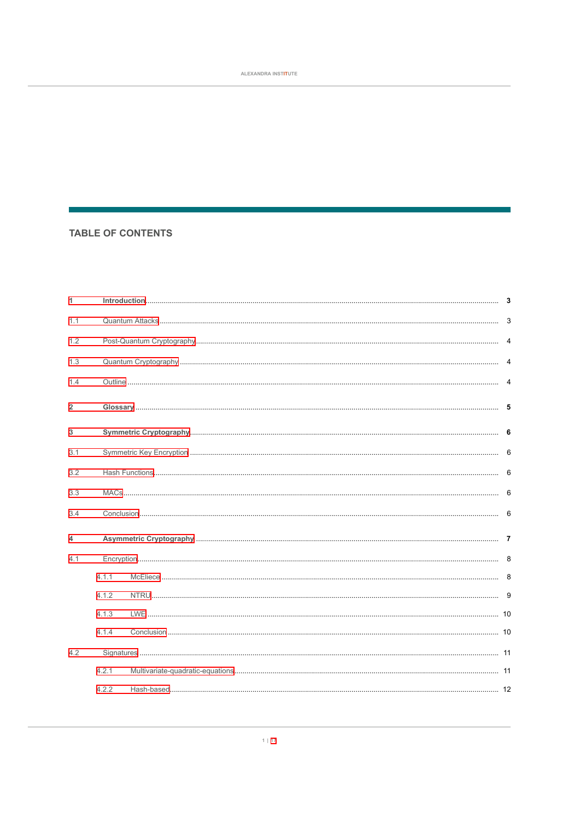# **TABLE OF CONTENTS**

| 1              |       |  |  |  |  |
|----------------|-------|--|--|--|--|
| 1.1            |       |  |  |  |  |
| 1.2            |       |  |  |  |  |
| 1.3            |       |  |  |  |  |
| 1.4            |       |  |  |  |  |
| $\overline{2}$ |       |  |  |  |  |
| 3              |       |  |  |  |  |
| 3.1            |       |  |  |  |  |
| 3.2            |       |  |  |  |  |
| 3.3            |       |  |  |  |  |
| 3.4            |       |  |  |  |  |
| 4              |       |  |  |  |  |
| 4.1            |       |  |  |  |  |
|                | 4.1.1 |  |  |  |  |
|                | 4.1.2 |  |  |  |  |
|                | 4.1.3 |  |  |  |  |
|                | 4.1.4 |  |  |  |  |
| 4.2            |       |  |  |  |  |
|                | 4.2.1 |  |  |  |  |
|                | 4.2.2 |  |  |  |  |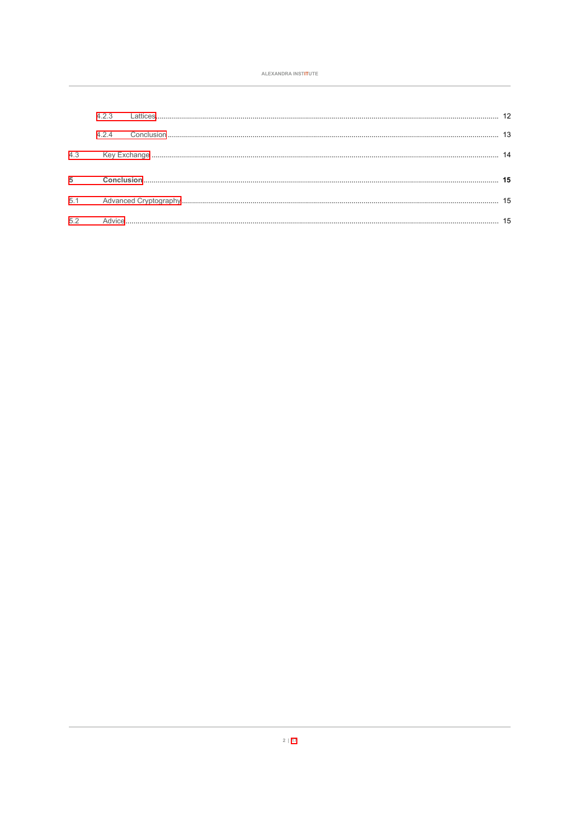|                | 423 |  |  |
|----------------|-----|--|--|
|                | 424 |  |  |
| 4.3            |     |  |  |
| $\overline{5}$ |     |  |  |
| 5.1            |     |  |  |
| 5.2            |     |  |  |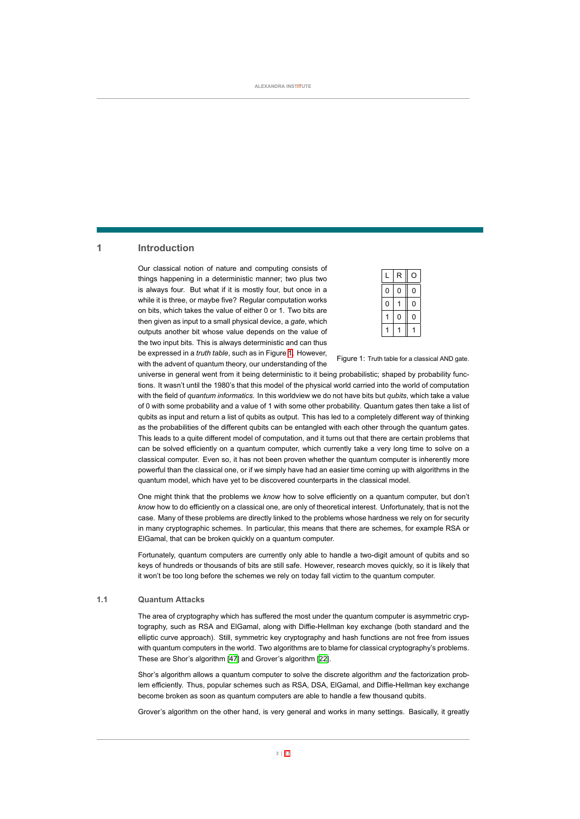# <span id="page-4-0"></span>**1 Introduction**

Our classical notion of nature and computing consists of things happening in a deterministic manner; two plus two is always four. But what if it is mostly four, but once in a while it is three, or maybe five? Regular computation works on bits, which takes the value of either 0 or 1. Two bits are then given as input to a small physical device, a *gate*, which outputs another bit whose value depends on the value of the two input bits. This is always deterministic and can thus be expressed in a *truth table*, such as in Figure [1](#page-4-2). However, with the advent of quantum theory, our understanding of the

|   | R |   |
|---|---|---|
| 0 | 0 | 0 |
| 0 |   | 0 |
|   | ი | 0 |
|   |   |   |

<span id="page-4-2"></span>Figure 1: Truth table for a classical AND gate.

universe in general went from it being deterministic to it being probabilistic; shaped by probability functions. It wasn't until the 1980's that this model of the physical world carried into the world of computation with the field of *quantum informatics*. In this worldview we do not have bits but *qubits*, which take a value of 0 with some probability and a value of 1 with some other probability. Quantum gates then take a list of qubits as input and return a list of qubits as output. This has led to a completely different way of thinking as the probabilities of the different qubits can be entangled with each other through the quantum gates. This leads to a quite different model of computation, and it turns out that there are certain problems that can be solved efficiently on a quantum computer, which currently take a very long time to solve on a classical computer. Even so, it has not been proven whether the quantum computer is inherently more powerful than the classical one, or if we simply have had an easier time coming up with algorithms in the quantum model, which have yet to be discovered counterparts in the classical model.

One might think that the problems we *know* how to solve efficiently on a quantum computer, but don't *know* how to do efficiently on a classical one, are only of theoretical interest. Unfortunately, that is not the case. Many of these problems are directly linked to the problems whose hardness we rely on for security in many cryptographic schemes. In particular, this means that there are schemes, for example RSA or ElGamal, that can be broken quickly on a quantum computer.

<span id="page-4-1"></span>Fortunately, quantum computers are currently only able to handle a two-digit amount of qubits and so keys of hundreds or thousands of bits are still safe. However, research moves quickly, so it is likely that it won't be too long before the schemes we rely on today fall victim to the quantum computer.

# **1.1 Quantum Attacks**

The area of cryptography which has suffered the most under the quantum computer is asymmetric cryptography, such as RSA and ElGamal, along with Diffie-Hellman key exchange (both standard and the elliptic curve approach). Still, symmetric key cryptography and hash functions are not free from issues with quantum computers in the world. Two algorithms are to blame for classical cryptography's problems. These are Shor's algorithm [\[47\]](#page-21-0) and Grover's algorithm[[22\]](#page-20-0).

Shor's algorithm allows a quantum computer to solve the discrete algorithm *and* the factorization problem efficiently. Thus, popular schemes such as RSA, DSA, ElGamal, and Diffie-Hellman key exchange become broken as soon as quantum computers are able to handle a few thousand qubits.

Grover's algorithm on the other hand, is very general and works in many settings. Basically, it greatly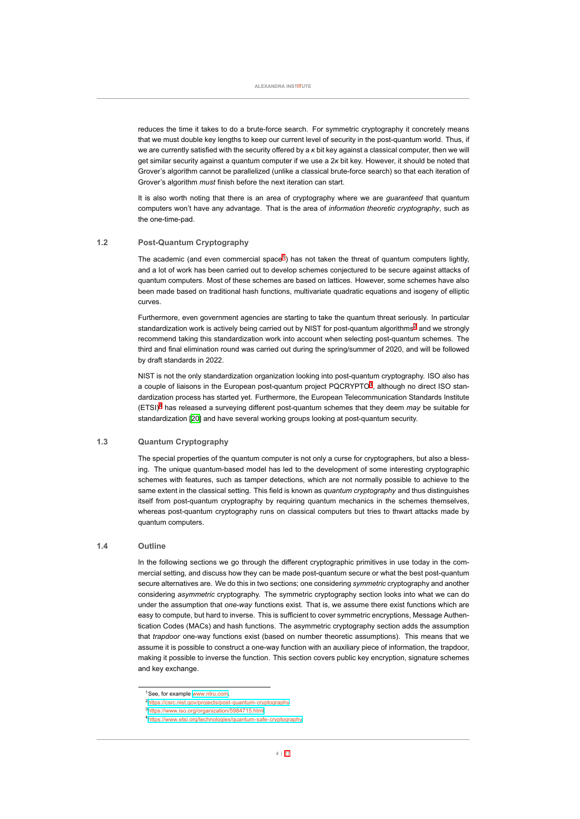reduces the time it takes to do a brute-force search. For symmetric cryptography it concretely means that we must double key lengths to keep our current level of security in the post-quantum world. Thus, if we are currently satisfied with the security offered by a *κ* bit key against a classical computer, then we will get similar security against a quantum computer if we use a 2*κ* bit key. However, it should be noted that Grover's algorithm cannot be parallelized (unlike a classical brute-force search) so that each iteration of Grover's algorithm *must* finish before the next iteration can start.

<span id="page-5-0"></span>It is also worth noting that there is an area of cryptography where we are *guaranteed* that quantum computers won't have any advantage. That is the area of *information theoretic cryptography*, such as the one-time-pad.

# **1.2 Post-Quantum Cryptography**

The academic (and even commercial space<sup>1</sup>) has not taken the threat of quantum computers lightly, and a lot of work has been carried out to develop schemes conjectured to be secure against attacks of quantum computers. Most of these schemes are based on lattices. However, some schemes have also been made based on traditional hash functions, multivariate quadratic equations and isogeny of elliptic curves.

Furthermore, even government agencies are starting to take the quantum threat seriously. In particular standardization work is actively being carried out by NIST for post-quantum algorithms<sup>2</sup> and we strongly recommend taking this standardization work into account when selecting post-quantum schemes. The third and final elimination round was carried out during the spring/summer of 2020, and will be followed by draft standards in 2022.

NIST is not the only standardization organization looking into post-quantum cryptography. ISO also has a couple of liaisons in the European post-quantum project PQCRYPTO<sup>3</sup>, although no direct ISO standardization process has started yet. Furthermore, the European Telecommunication Standards Institute (ETSI)<sup>4</sup> has released a surveying different post-quantum schemes that they deem *may* be suitable for standardization [\[20\]](#page-19-0) and have several working groups looking at post-quantum security.

# **1.3 Quantum Cryptography**

<span id="page-5-1"></span>The special properties of the quantum computer is not only a curse for cryptographers, but also a blessing. The unique quantum-based model has led to the development of some interesting cryptographic schemes with features, such as tamper detections, which are not normally possible to achieve to the same extent in the classical setting. This field is known as *quantum cryptography* and thus distinguishes itself from post-quantum cryptography by requiring quantum mechanics in the schemes themselves, whereas post-quantum cryptography runs on classical computers but tries to thwart attacks made by quantum computers.

#### **1.4 Outline**

<span id="page-5-2"></span>In the following sections we go through the different cryptographic primitives in use today in the commercial setting, and discuss how they can be made post-quantum secure or what the best post-quantum secure alternatives are. We do this in two sections; one considering *symmetric* cryptography and another considering *asymmetric* cryptography. The symmetric cryptography section looks into what we can do under the assumption that *one-way* functions exist. That is, we assume there exist functions which are easy to compute, but hard to inverse. This is sufficient to cover symmetric encryptions, Message Authentication Codes (MACs) and hash functions. The asymmetric cryptography section adds the assumption that *trapdoor* oneway functions exist (based on number theoretic assumptions). This means that we assume it is possible to construct a one-way function with an auxiliary piece of information, the trapdoor, making it possible to inverse the function. This section covers public key encryption, signature schemes and key exchange.

<span id="page-5-3"></span><sup>1</sup>See, for example <www.ntru.com>.

<sup>&</sup>lt;sup>2</sup>https://csrc.nist.gov/projects/post-quantum-cryptography

<sup>3</sup><https://www.iso.org/organization/5984715.html>

<sup>&</sup>lt;sup>4</sup>https://www.etsi.org/technologies/quantum-safe-cryptography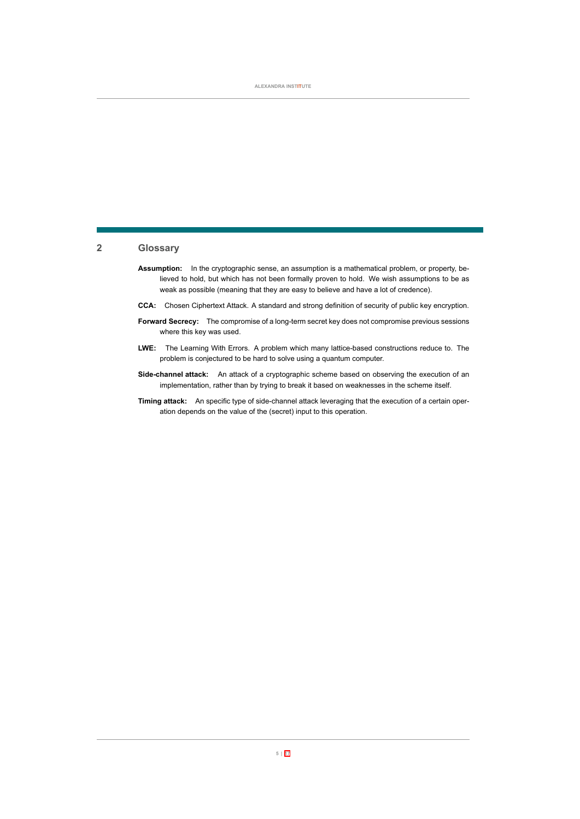# **2 Glossary**

- **Assumption:** In the cryptographic sense, an assumption is a mathematical problem, or property, believed to hold, but which has not been formally proven to hold. We wish assumptions to be as weak as possible (meaning that they are easy to believe and have a lot of credence).
- **CCA:** Chosen Ciphertext Attack. A standard and strong definition of security of public key encryption.
- Forward Secrecy: The compromise of a long-term secret key does not compromise previous sessions where this key was used.
- LWE: The Learning With Errors. A problem which many lattice-based constructions reduce to. The problem is conjectured to be hard to solve using a quantum computer.
- **Sidechannel attack:** An attack of a cryptographic scheme based on observing the execution of an implementation, rather than by trying to break it based on weaknesses in the scheme itself.
- <span id="page-6-0"></span>**Timing attack:** An specific type of side-channel attack leveraging that the execution of a certain operation depends on the value of the (secret) input to this operation.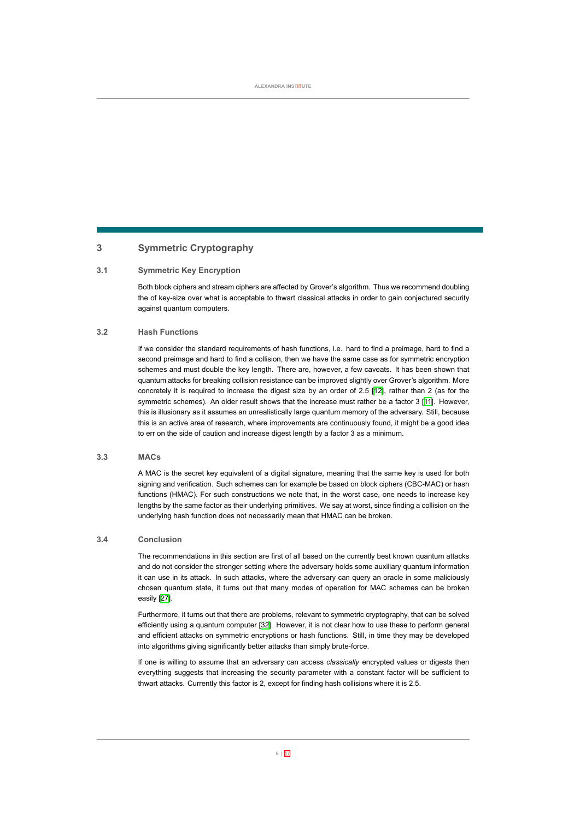# **3 Symmetric Cryptography**

# **3.1 Symmetric Key Encryption**

<span id="page-7-1"></span><span id="page-7-0"></span>Both block ciphers and stream ciphers are affected by Grover's algorithm. Thus we recommend doubling the of keysize over what is acceptable to thwart classical attacks in order to gain conjectured security against quantum computers.

# **3.2 Hash Functions**

If we consider the standard requirements of hash functions, i.e. hard to find a preimage, hard to find a second preimage and hard to find a collision, then we have the same case as for symmetric encryption schemes and must double the key length. There are, however, a few caveats. It has been shown that quantum attacks for breaking collision resistance can be improved slightly over Grover's algorithm. More concretely it is required to increase the digest size by an order of 2.5[[12](#page-19-1)], rather than 2 (as for the symmetric schemes). An older result shows that the increase must rather be a factor 3 [\[11](#page-19-2)]. However, this is illusionary as it assumes an unrealistically large quantum memory of the adversary. Still, because this is an active area of research, where improvements are continuously found, it might be a good idea to err on the side of caution and increase digest length by a factor 3 as a minimum.

# **3.3 MACs**

<span id="page-7-2"></span>A MAC is the secret key equivalent of a digital signature, meaning that the same key is used for both signing and verification. Such schemes can for example be based on block ciphers (CBC-MAC) or hash functions (HMAC). For such constructions we note that, in the worst case, one needs to increase key lengths by the same factor as their underlying primitives. We say at worst, since finding a collision on the underlying hash function does not necessarily mean that HMAC can be broken.

# **3.4 Conclusion**

<span id="page-7-3"></span>The recommendations in this section are first of all based on the currently best known quantum attacks and do not consider the stronger setting where the adversary holds some auxiliary quantum information it can use in its attack. In such attacks, where the adversary can query an oracle in some maliciously chosen quantum state, it turns out that many modes of operation for MAC schemes can be broken easily[[27](#page-20-1)].

Furthermore, it turns out that there are problems, relevant to symmetric cryptography, that can be solved efficiently using a quantum computer[[32](#page-20-2)]. However, it is not clear how to use these to perform general and efficient attacks on symmetric encryptions or hash functions. Still, in time they may be developed into algorithms giving significantly better attacks than simply brute-force.

<span id="page-7-4"></span>If one is willing to assume that an adversary can access *classically* encrypted values or digests then everything suggests that increasing the security parameter with a constant factor will be sufficient to thwart attacks. Currently this factor is 2, except for finding hash collisions where it is 2.5.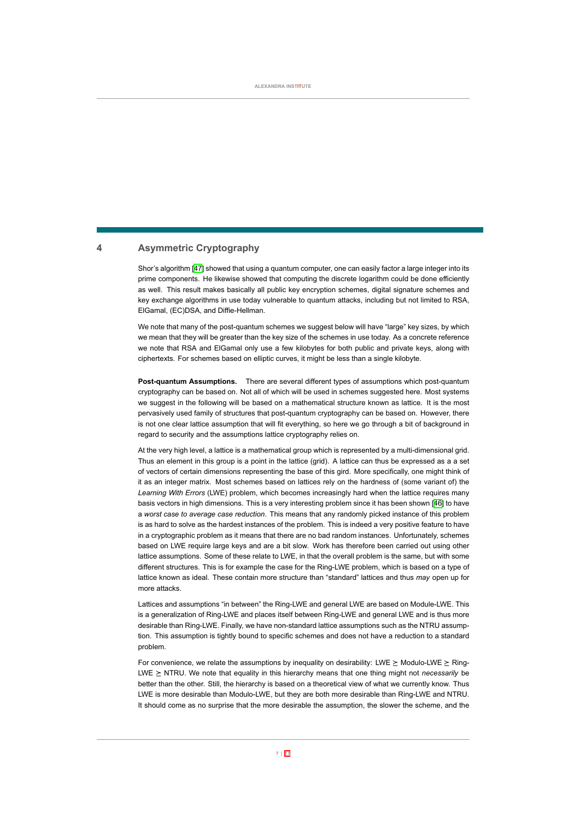# **4 Asymmetric Cryptography**

Shor's algorithm [\[47](#page-21-0)] showed that using a quantum computer, one can easily factor a large integer into its prime components. He likewise showed that computing the discrete logarithm could be done efficiently as well. This result makes basically all public key encryption schemes, digital signature schemes and key exchange algorithms in use today vulnerable to quantum attacks, including but not limited to RSA, ElGamal, (EC)DSA, and Diffie-Hellman.

We note that many of the post-quantum schemes we suggest below will have "large" key sizes, by which we mean that they will be greater than the key size of the schemes in use today. As a concrete reference we note that RSA and ElGamal only use a few kilobytes for both public and private keys, along with ciphertexts. For schemes based on elliptic curves, it might be less than a single kilobyte.

**Post-quantum Assumptions.** There are several different types of assumptions which post-quantum cryptography can be based on. Not all of which will be used in schemes suggested here. Most systems we suggest in the following will be based on a mathematical structure known as lattice. It is the most pervasively used family of structures that post-quantum cryptography can be based on. However, there is not one clear lattice assumption that will fit everything, so here we go through a bit of background in regard to security and the assumptions lattice cryptography relies on.

At the very high level, a lattice is a mathematical group which is represented by a multi-dimensional grid. Thus an element in this group is a point in the lattice (grid). A lattice can thus be expressed as a a set of vectors of certain dimensions representing the base of this gird. More specifically, one might think of it as an integer matrix. Most schemes based on lattices rely on the hardness of (some variant of) the *Learning With Errors* (LWE) problem, which becomes increasingly hard when the lattice requires many basis vectors in high dimensions. This is a very interesting problem since it has been shown [\[46\]](#page-21-1) to have a *worst case to average case reduction*. This means that any randomly picked instance of this problem is as hard to solve as the hardest instances of the problem. This is indeed a very positive feature to have in a cryptographic problem as it means that there are no bad random instances. Unfortunately, schemes based on LWE require large keys and are a bit slow. Work has therefore been carried out using other lattice assumptions. Some of these relate to LWE, in that the overall problem is the same, but with some different structures. This is for example the case for the Ring-LWE problem, which is based on a type of lattice known as ideal. These contain more structure than "standard" lattices and thus *may* open up for more attacks.

Lattices and assumptions "in between" the Ring-LWE and general LWE are based on Module-LWE. This is a generalization of Ring-LWE and places itself between Ring-LWE and general LWE and is thus more desirable than Ring-LWE. Finally, we have non-standard lattice assumptions such as the NTRU assumption. This assumption is tightly bound to specific schemes and does not have a reduction to a standard problem.

For convenience, we relate the assumptions by inequality on desirability: LWE  $\geq$  Modulo-LWE  $\geq$  Ring-LWE ≥ NTRU. We note that equality in this hierarchy means that one thing might not *necessarily* be better than the other. Still, the hierarchy is based on a theoretical view of what we currently know. Thus LWE is more desirable than Modulo-LWE, but they are both more desirable than Ring-LWE and NTRU. It should come as no surprise that the more desirable the assumption, the slower the scheme, and the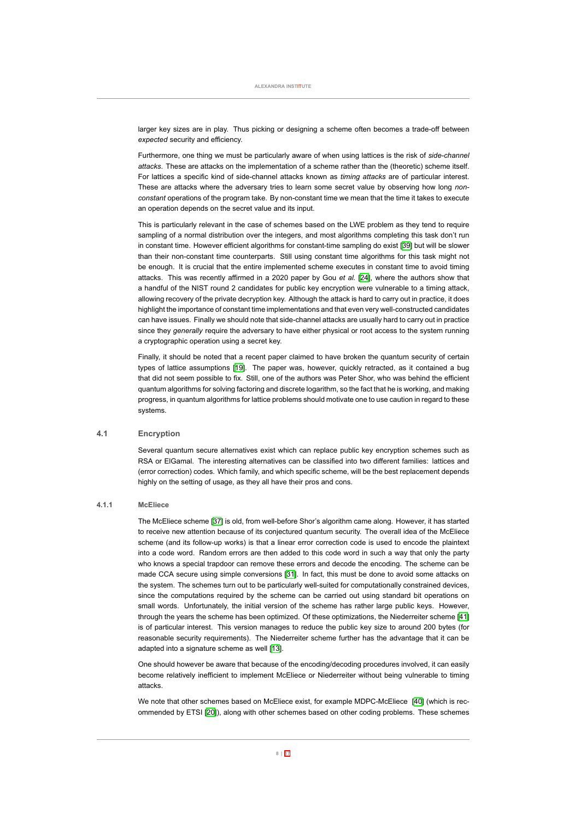larger key sizes are in play. Thus picking or designing a scheme often becomes a trade-off between *expected* security and efficiency.

Furthermore, one thing we must be particularly aware of when using lattices is the risk of *sidechannel attacks*. These are attacks on the implementation of a scheme rather than the (theoretic) scheme itself. For lattices a specific kind of side-channel attacks known as *timing attacks* are of particular interest. These are attacks where the adversary tries to learn some secret value by observing how long *nonconstant* operations of the program take. By non-constant time we mean that the time it takes to execute an operation depends on the secret value and its input.

This is particularly relevant in the case of schemes based on the LWE problem as they tend to require sampling of a normal distribution over the integers, and most algorithms completing this task don't run inconstant time. However efficient algorithms for constant-time sampling do exist [[39](#page-21-2)] but will be slower than their non-constant time counterparts. Still using constant time algorithms for this task might not be enough. It is crucial that the entire implemented scheme executes in constant time to avoid timing attacks. This was recently affirmed in a 2020 paper by Gou *et al.* [[24](#page-20-3)], where the authors show that a handful of the NIST round 2 candidates for public key encryption were vulnerable to a timing attack, allowing recovery of the private decryption key. Although the attack is hard to carry out in practice, it does highlight the importance of constant time implementations and that even very well-constructed candidates can have issues. Finally we should note that side-channel attacks are usually hard to carry out in practice since they *generally* require the adversary to have either physical or root access to the system running a cryptographic operation using a secret key.

Finally, it should be noted that a recent paper claimed to have broken the quantum security of certain types of lattice assumptions [\[19](#page-19-3)]. The paper was, however, quickly retracted, as it contained a bug that did not seem possible to fix. Still, one of the authors was Peter Shor, who was behind the efficient quantum algorithms for solving factoring and discrete logarithm, so the fact that he is working, and making progress, in quantum algorithms for lattice problems should motivate one to use caution in regard to these systems.

# **4.1 Encryption**

<span id="page-9-0"></span>Several quantum secure alternatives exist which can replace public key encryption schemes such as RSA or ElGamal. The interesting alternatives can be classified into two different families: lattices and (error correction) codes. Which family, and which specific scheme, will be the best replacement depends highly on the setting of usage, as they all have their pros and cons.

# **4.1.1 McEliece**

<span id="page-9-1"></span>TheMcEliece scheme [[37](#page-21-3)] is old, from well-before Shor's algorithm came along. However, it has started to receive new attention because of its conjectured quantum security. The overall idea of the McEliece scheme (and its follow-up works) is that a linear error correction code is used to encode the plaintext into a code word. Random errors are then added to this code word in such a way that only the party who knows a special trapdoor can remove these errors and decode the encoding. The scheme can be made CCA secure using simple conversions [\[31\]](#page-20-4). In fact, this must be done to avoid some attacks on the system. The schemes turn out to be particularly well-suited for computationally constrained devices, since the computations required by the scheme can be carried out using standard bit operations on small words. Unfortunately, the initial version of the scheme has rather large public keys. However, through the years the scheme has been optimized. Of these optimizations, the Niederreiter scheme[[41\]](#page-21-4) is of particular interest. This version manages to reduce the public key size to around 200 bytes (for reasonable security requirements). The Niederreiter scheme further has the advantage that it can be adapted into a signature scheme as well[[13](#page-19-4)].

One should however be aware that because of the encoding/decoding procedures involved, it can easily become relatively inefficient to implement McEliece or Niederreiter without being vulnerable to timing attacks.

We note that other schemes based on McEliece exist, for example MDPC-McEliece [\[40](#page-21-5)] (which is recommended by ETSI [\[20\]](#page-19-0)), along with other schemes based on other coding problems. These schemes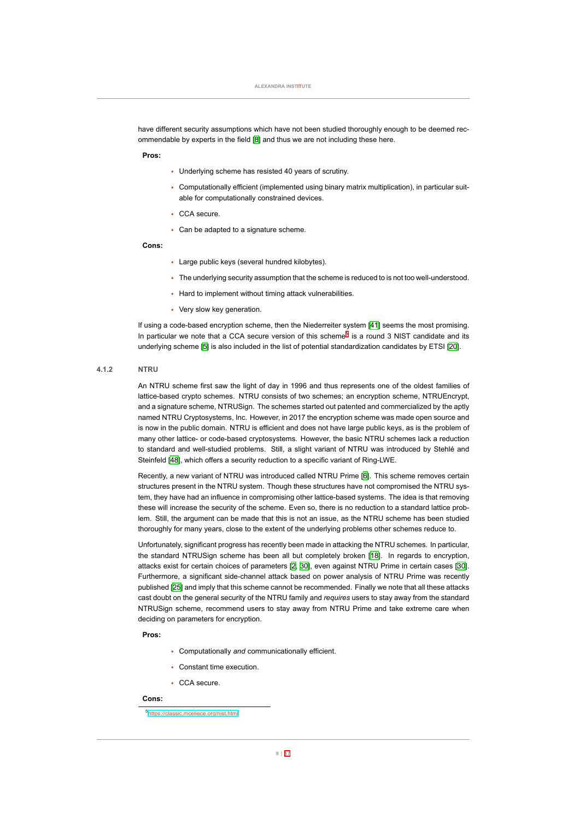have different security assumptions which have not been studied thoroughly enough to be deemed recommendable by experts in the field [\[8\]](#page-18-0) and thus we are not including these here.

#### **Pros:**

- Underlying scheme has resisted 40 years of scrutiny.
- Computationally efficient (implemented using binary matrix multiplication), in particular suitable for computationally constrained devices.
- CCA secure.
- Can be adapted to a signature scheme.

#### **Cons:**

- Large public keys (several hundred kilobytes).
- The underlying security assumption that the scheme is reduced to is not too well-understood.
- Hard to implement without timing attack vulnerabilities.
- Very slow key generation.

<span id="page-10-0"></span>If using a code-based encryption scheme, then the Niederreiter system [\[41](#page-21-4)] seems the most promising. In particular we note that a CCA secure version of this scheme<sup>5</sup> is a round 3 NIST candidate and its underlying scheme [\[5\]](#page-18-1) is also included in the list of potential standardization candidates by ETSI [\[20](#page-19-0)].

# **4.1.2 NTRU**

An NTRU scheme first saw the light of day in 1996 and thus represents one of the oldest families of lattice-based crypto schemes. NTRU consists of two schemes; an encryption scheme, NTRUEncrypt, and a signature scheme, NTRUSign. The schemes started out patented and commercialized by the aptly named NTRU Cryptosystems, Inc. However, in 2017 the encryption scheme was made open source and is now in the public domain. NTRU is efficient and does not have large public keys, as is the problem of many other lattice- or code-based cryptosystems. However, the basic NTRU schemes lack a reduction to standard and well-studied problems. Still, a slight variant of NTRU was introduced by Stehlé and Steinfeld[[48](#page-22-0)], which offers a security reduction to a specific variant of Ring-LWE.

Recently, a new variant of NTRU was introduced called NTRU Prime[[6](#page-18-2)]. This scheme removes certain structures present in the NTRU system. Though these structures have not compromised the NTRU system, they have had an influence in compromising other lattice-based systems. The idea is that removing these will increase the security of the scheme. Even so, there is no reduction to a standard lattice problem. Still, the argument can be made that this is not an issue, as the NTRU scheme has been studied thoroughly for many years, close to the extent of the underlying problems other schemes reduce to.

Unfortunately, significant progress has recently been made in attacking the NTRU schemes. In particular, the standard NTRUSign scheme has been all but completely broken [\[18\]](#page-19-5). In regards to encryption, attacks exist for certain choices of parameters [\[2,](#page-18-3) [30](#page-20-5)], even against NTRU Prime in certain cases [\[30\]](#page-20-5). Furthermore, a significant side-channel attack based on power analysis of NTRU Prime was recently published [\[25\]](#page-20-6) and imply that this scheme cannot be recommended. Finally we note that all these attacks cast doubt on the general security of the NTRU family and *requires* users to stay away from the standard NTRUSign scheme, recommend users to stay away from NTRU Prime and take extreme care when deciding on parameters for encryption.

**Pros:**

- Computationally *and* communicationally efficient.
- Constant time execution.
- CCA secure.

# **Cons:**

<sup>5</sup><https://classic.mceliece.org/nist.html>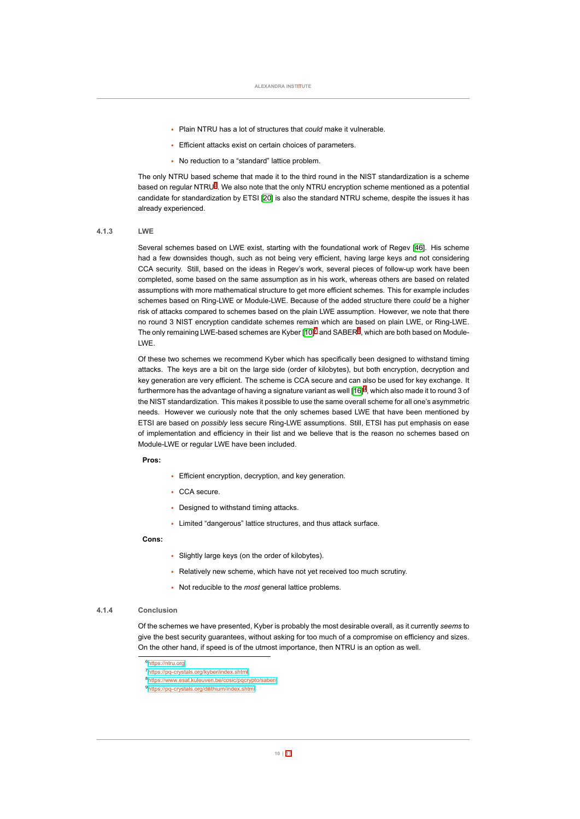- Plain NTRU has a lot of structures that *could* make it vulnerable.
- Efficient attacks exist on certain choices of parameters.
- No reduction to a "standard" lattice problem.

The only NTRU based scheme that made it to the third round in the NIST standardization is a scheme based on regular NTRU<sup>6</sup>. We also note that the only NTRU encryption scheme mentioned as a potential candidate for standardization by ETSI [\[20](#page-19-0)] is also the standard NTRU scheme, despite the issues it has already experienced.

#### **4.1.3 LWE**

<span id="page-11-0"></span>Several schemes based on LWE exist, starting with the foundational work of Regev[[46](#page-21-1)]. His scheme had a few downsides though, such as not being very efficient, having large keys and not considering CCA security. Still, based on the ideas in Regev's work, several pieces of followup work have been completed, some based on the same assumption as in his work, whereas others are based on related assumptions with more mathematical structure to get more efficient schemes. This for example includes schemes based on Ring-LWE or Module-LWE. Because of the added structure there *could* be a higher risk of attacks compared to schemes based on the plain LWE assumption. However, we note that there no round 3 NIST encryption candidate schemes remain which are based on plain LWE, or RingLWE. Theonly remaining LWE-based schemes are Kyber [[10\]](#page-19-6)<sup>7</sup> and SABER<sup>8</sup>, which are both based on Module-LWE.

Of these two schemes we recommend Kyber which has specifically been designed to withstand timing attacks. The keys are a bit on the large side (order of kilobytes), but both encryption, decryption and key generation are very efficient. The scheme is CCA secure and can also be used for key exchange. It furthermorehas the advantage of having a signature variant as well [[16](#page-19-7)] $^9$ , which also made it to round 3 of the NIST standardization. This makes it possible to use the same overall scheme for all one's asymmetric needs. However we curiously note that the only schemes based LWE that have been mentioned by ETSI are based on *possibly* less secure Ring-LWE assumptions. Still, ETSI has put emphasis on ease of implementation and efficiency in their list and we believe that is the reason no schemes based on ModuleLWE or regular LWE have been included.

#### **Pros:**

- Efficient encryption, decryption, and key generation.
- CCA secure.
- Designed to withstand timing attacks.
- Limited "dangerous" lattice structures, and thus attack surface.

#### **Cons:**

- Slightly large keys (on the order of kilobytes).
- Relatively new scheme, which have not yet received too much scrutiny.
- Not reducible to the *most* general lattice problems.

#### **4.1.4 Conclusion**

<span id="page-11-1"></span>Of the schemes we have presented, Kyber is probably the most desirable overall, as it currently *seems* to give the best security guarantees, without asking for too much of a compromise on efficiency and sizes. On the other hand, if speed is of the utmost importance, then NTRU is an option as well.

<sup>6</sup><https://ntru.org>

<sup>7</sup>https://pq-crystals.org/kyber/index.shtml

<sup>8</sup><https://www.esat.kuleuven.be/cosic/pqcrypto/saber/>

<sup>&</sup>lt;sup>9</sup>https://pq-crystals.org/dilithium/index.shtml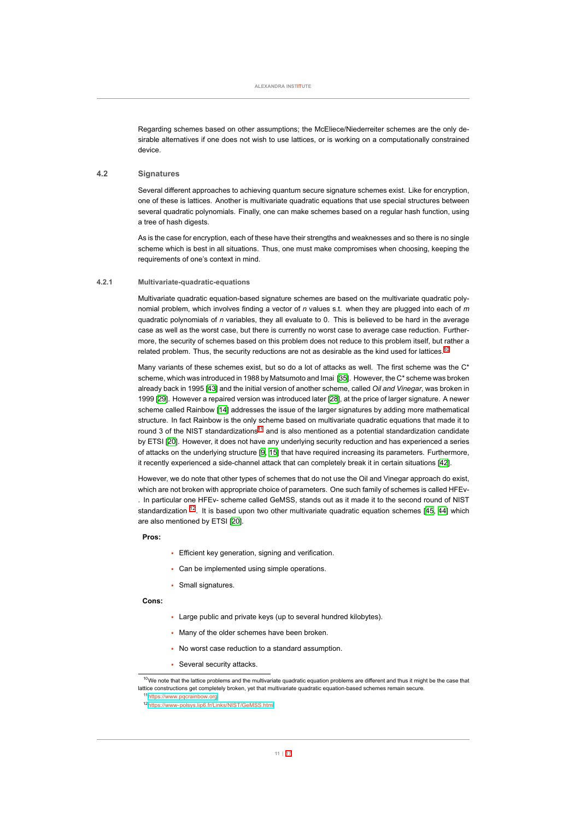<span id="page-12-0"></span>Regarding schemes based on other assumptions; the McEliece/Niederreiter schemes are the only desirable alternatives if one does not wish to use lattices, or is working on a computationally constrained device.

#### **4.2 Signatures**

Several different approaches to achieving quantum secure signature schemes exist. Like for encryption, one of these is lattices. Another is multivariate quadratic equations that use special structures between several quadratic polynomials. Finally, one can make schemes based on a regular hash function, using a tree of hash digests.

<span id="page-12-1"></span>As is the case for encryption, each of these have their strengths and weaknesses and so there is no single scheme which is best in all situations. Thus, one must make compromises when choosing, keeping the requirements of one's context in mind.

# **4.2.1 Multivariatequadraticequations**

Multivariate quadratic equation-based signature schemes are based on the multivariate quadratic polynomial problem, which involves finding a vector of *n* values s.t. when they are plugged into each of *m* quadratic polynomials of *n* variables, they all evaluate to 0. This is believed to be hard in the average case as well as the worst case, but there is currently no worst case to average case reduction. Furthermore, the security of schemes based on this problem does not reduce to this problem itself, but rather a related problem. Thus, the security reductions are not as desirable as the kind used for lattices.<sup>10</sup>

Many variants of these schemes exist, but so do a lot of attacks as well. The first scheme was the C\* scheme, which was introduced in 1988 by Matsumoto and Imai [\[35](#page-21-6)]. However, the C\* scheme was broken already back in 1995 [\[43\]](#page-21-7) and the initial version of another scheme, called *Oil and Vinegar*, was broken in 1999 [\[29](#page-20-7)]. However a repaired version was introduced later[[28](#page-20-8)], at the price of larger signature. A newer scheme called Rainbow[[14\]](#page-19-8) addresses the issue of the larger signatures by adding more mathematical structure. In fact Rainbow is the only scheme based on multivariate quadratic equations that made it to round 3 of the NIST standardizations<sup>11</sup> and is also mentioned as a potential standardization candidate by ETSI [\[20](#page-19-0)]. However, it does not have any underlying security reduction and has experienced a series of attacks on the underlying structure[[9](#page-18-4), [15\]](#page-19-9) that have required increasing its parameters. Furthermore, itrecently experienced a side-channel attack that can completely break it in certain situations [[42\]](#page-21-8).

However, we do note that other types of schemes that do not use the Oil and Vinegar approach do exist, which are not broken with appropriate choice of parameters. One such family of schemes is called HFEv . In particular one HFEv scheme called GeMSS, stands out as it made it to the second round of NIST standardization $12$ . It is based upon two other multivariate quadratic equation schemes [[45](#page-21-9), [44](#page-21-10)] which are also mentioned by ETSI[[20](#page-19-0)].

#### **Pros:**

- Efficient key generation, signing and verification.
- Can be implemented using simple operations.
- Small signatures.

# **Cons:**

- Large public and private keys (up to several hundred kilobytes).
- Many of the older schemes have been broken.
- No worst case reduction to a standard assumption.
- Several security attacks.

 $10$ We note that the lattice problems and the multivariate quadratic equation problems are different and thus it might be the case that lattice constructions get completely broken, yet that multivariate quadratic equation-based schemes remain secure.

<sup>11</sup><https://www.pqcrainbow.org> <sup>12</sup>[https://wwwpolsys.lip6.fr/Links/NIST/GeMSS.html](https://www-polsys.lip6.fr/Links/NIST/GeMSS.html)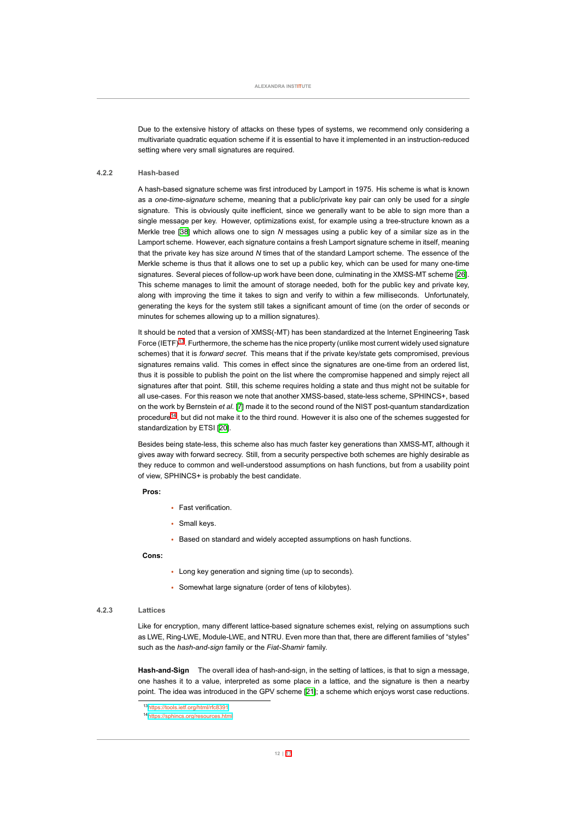<span id="page-13-0"></span>Due to the extensive history of attacks on these types of systems, we recommend only considering a multivariate quadratic equation scheme if it is essential to have it implemented in an instruction-reduced setting where very small signatures are required.

#### **4.2.2 Hashbased**

A hashbased signature scheme was first introduced by Lamport in 1975. His scheme is what is known as a *onetimesignature* scheme, meaning that a public/private key pair can only be used for a *single* signature. This is obviously quite inefficient, since we generally want to be able to sign more than a single message per key. However, optimizations exist, for example using a tree-structure known as a Merkle tree[[38](#page-21-11)] which allows one to sign *N* messages using a public key of a similar size as in the Lamport scheme. However, each signature contains a fresh Lamport signature scheme in itself, meaning that the private key has size around *N* times that of the standard Lamport scheme. The essence of the Merkle scheme is thus that it allows one to set up a public key, which can be used for many one-time signatures. Several pieces of follow-up work have been done, culminating in the XMSS-MT scheme [\[26\]](#page-20-9). This scheme manages to limit the amount of storage needed, both for the public key and private key, along with improving the time it takes to sign and verify to within a few milliseconds. Unfortunately, generating the keys for the system still takes a significant amount of time (on the order of seconds or minutes for schemes allowing up to a million signatures).

It should be noted that a version of XMSS(-MT) has been standardized at the Internet Engineering Task Force (IETF)<sup>13</sup>. Furthermore, the scheme has the nice property (unlike most current widely used signature schemes) that it is *forward secret*. This means that if the private key/state gets compromised, previous signatures remains valid. This comes in effect since the signatures are one-time from an ordered list, thus it is possible to publish the point on the list where the compromise happened and simply reject all signatures after that point. Still, this scheme requires holding a state and thus might not be suitable for all use-cases. For this reason we note that another XMSS-based, state-less scheme, SPHINCS+, based on the work by Bernstein *et al.* [\[7](#page-18-5)] made it to the second round of the NIST post-quantum standardization procedure<sup>14</sup>, but did not make it to the third round. However it is also one of the schemes suggested for standardizationby ETSI [[20](#page-19-0)].

Besides being state-less, this scheme also has much faster key generations than XMSS-MT, although it gives away with forward secrecy. Still, from a security perspective both schemes are highly desirable as they reduce to common and well-understood assumptions on hash functions, but from a usability point of view, SPHINCS+ is probably the best candidate.

#### **Pros:**

- Fast verification.
- Small keys.
- Based on standard and widely accepted assumptions on hash functions.

#### **Cons:**

- Long key generation and signing time (up to seconds).
- Somewhat large signature (order of tens of kilobytes).

### **4.2.3 Lattices**

<span id="page-13-1"></span>Like for encryption, many different lattice-based signature schemes exist, relying on assumptions such as LWE, Ring-LWE, Module-LWE, and NTRU. Even more than that, there are different families of "styles" such as the *hash-and-sign* family or the Fiat-Shamir family.

Hash-and-Sign The overall idea of hash-and-sign, in the setting of lattices, is that to sign a message, one hashes it to a value, interpreted as some place in a lattice, and the signature is then a nearby point. The idea was introduced in the GPV scheme [\[21\]](#page-19-10); a scheme which enjoys worst case reductions.

<sup>13</sup><https://tools.ietf.org/html/rfc8391>

<sup>14</sup><https://sphincs.org/resources.html>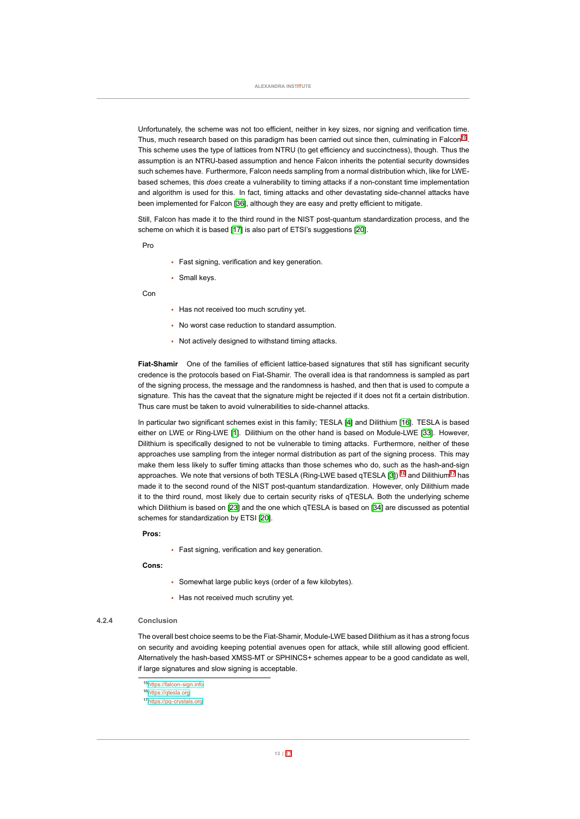Unfortunately, the scheme was not too efficient, neither in key sizes, nor signing and verification time. Thus, much research based on this paradigm has been carried out since then, culminating in Falcon<sup>15</sup>. This scheme uses the type of lattices from NTRU (to get efficiency and succinctness), though. Thus the assumption is an NTRU-based assumption and hence Falcon inherits the potential security downsides such schemes have. Furthermore, Falcon needs sampling from a normal distribution which, like for LWEbased schemes, this *does* create a vulnerability to timing attacks if a nonconstant time implementation and algorithm is used for this. In fact, timing attacks and other devastating side-channel attacks have been implemented for Falcon [\[36\]](#page-21-12), although they are easy and pretty efficient to mitigate.

Still, Falcon has made it to the third round in the NIST post-quantum standardization process, and the scheme on which it is based [\[17](#page-19-11)] is also part of ETSI's suggestions[[20\]](#page-19-0).

Pro

- Fast signing, verification and key generation.
- Small keys.

Con

- Has not received too much scrutiny yet.
- No worst case reduction to standard assumption.
- Not actively designed to withstand timing attacks.

Fiat-Shamir One of the families of efficient lattice-based signatures that still has significant security credence is the protocols based on Fiat-Shamir. The overall idea is that randomness is sampled as part of the signing process, the message and the randomness is hashed, and then that is used to compute a signature. This has the caveat that the signature might be rejected if it does not fit a certain distribution. Thus care must be taken to avoid vulnerabilities to side-channel attacks.

In particular two significant schemes exist in this family; TESLA [\[4](#page-18-6)] and Dilithium [\[16](#page-19-7)]. TESLA is based either on LWE or Ring-LWE [\[1](#page-18-7)]. Dilithium on the other hand is based on Module-LWE [\[33](#page-20-10)]. However, Dilithium is specifically designed to not be vulnerable to timing attacks. Furthermore, neither of these approaches use sampling from the integer normal distribution as part of the signing process. This may make them less likely to suffer timing attacks than those schemes who do, such as the hash-and-sign approaches. We note that versions of both TESLA (Ring-LWE based qTESLA [\[3](#page-18-8)]) <sup>16</sup> and Dilithium<sup>17</sup> has made it to the second round of the NIST post-quantum standardization. However, only Dilithium made it to the third round, most likely due to certain security risks of qTESLA. Both the underlying scheme whichDilithium is based on [[23](#page-20-11)] and the one which qTESLA is based on [\[34](#page-20-12)] are discussed as potential schemes for standardization by ETSI[[20\]](#page-19-0).

#### **Pros:**

• Fast signing, verification and key generation.

**Cons:**

- Somewhat large public keys (order of a few kilobytes).
- Has not received much scrutiny yet.

#### **4.2.4 Conclusion**

<span id="page-14-0"></span>The overall best choice seems to be the Fiat-Shamir, Module-LWE based Dilithium as it has a strong focus on security and avoiding keeping potential avenues open for attack, while still allowing good efficient. Alternatively the hash-based XMSS-MT or SPHINCS+ schemes appear to be a good candidate as well, if large signatures and slow signing is acceptable.

<span id="page-14-1"></span><sup>15&</sup>lt;sub>https://falcon-sign.info</sub>

<sup>16</sup><https://qtesla.org>

<sup>17&</sup>lt;sub>https://pq-crystals.org</sub>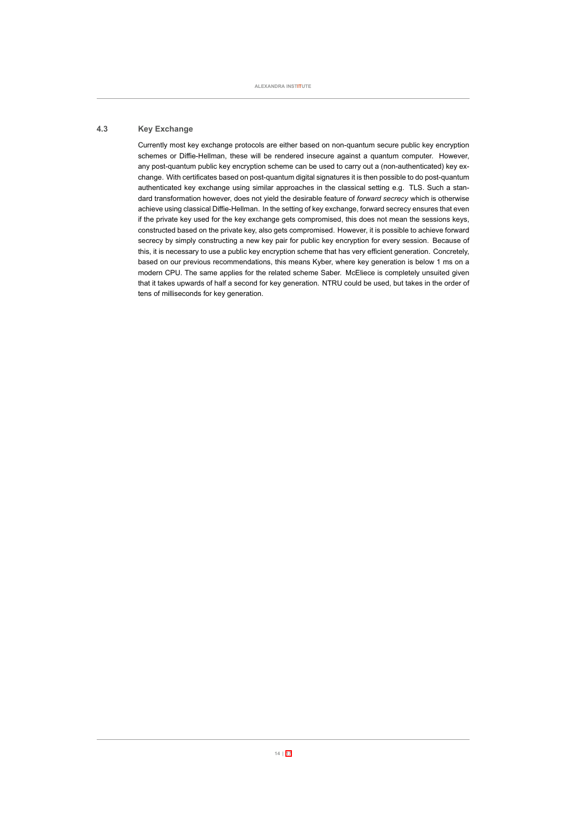# **4.3 Key Exchange**

<span id="page-15-0"></span>Currently most key exchange protocols are either based on nonquantum secure public key encryption schemes or Diffie-Hellman, these will be rendered insecure against a quantum computer. However, any post-quantum public key encryption scheme can be used to carry out a (non-authenticated) key exchange. With certificates based on post-quantum digital signatures it is then possible to do post-quantum authenticated key exchange using similar approaches in the classical setting e.g. TLS. Such a standard transformation however, does not yield the desirable feature of *forward secrecy* which is otherwise achieve using classical Diffie-Hellman. In the setting of key exchange, forward secrecy ensures that even if the private key used for the key exchange gets compromised, this does not mean the sessions keys, constructed based on the private key, also gets compromised. However, it is possible to achieve forward secrecy by simply constructing a new key pair for public key encryption for every session. Because of this, it is necessary to use a public key encryption scheme that has very efficient generation. Concretely, based on our previous recommendations, this means Kyber, where key generation is below 1 ms on a modern CPU. The same applies for the related scheme Saber. McEliece is completely unsuited given that it takes upwards of half a second for key generation. NTRU could be used, but takes in the order of tens of milliseconds for key generation.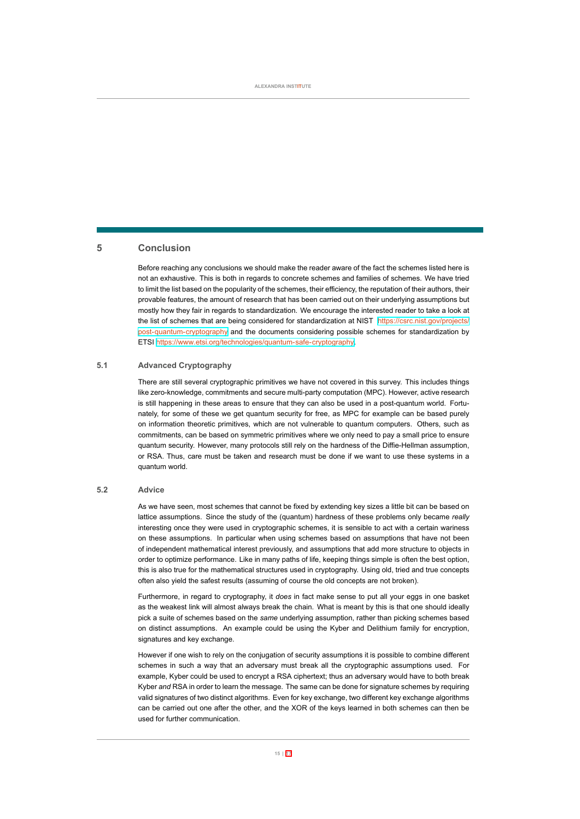# **5 Conclusion**

Before reaching any conclusions we should make the reader aware of the fact the schemes listed here is not an exhaustive. This is both in regards to concrete schemes and families of schemes. We have tried to limit the list based on the popularity of the schemes, their efficiency, the reputation of their authors, their provable features, the amount of research that has been carried out on their underlying assumptions but mostly how they fair in regards to standardization. We encourage the interested reader to take a look at the list of schemes that are being considered for standardization at NIST [https://csrc.nist.gov/projects/](https://csrc.nist.gov/projects/post-quantum-cryptography) post-quantum-cryptography and the documents considering possible schemes for standardization by ETSI https://www.etsi.org/technologies/quantum-safe-cryptography.

# **5.1 Advanced Cryptography**

<span id="page-16-1"></span>There are still several cryptographic primitives we have not covered in this survey. This includes things like zero-knowledge, commitments and secure multi-party computation (MPC). However, active research is still happening in these areas to ensure that they can also be used in a post-quantum world. Fortunately, for some of these we get quantum security for free, as MPC for example can be based purely on information theoretic primitives, which are not vulnerable to quantum computers. Others, such as commitments, can be based on symmetric primitives where we only need to pay a small price to ensure quantum security. However, many protocols still rely on the hardness of the Diffie-Hellman assumption, or RSA. Thus, care must be taken and research must be done if we want to use these systems in a quantum world.

#### **5.2 Advice**

<span id="page-16-0"></span>As we have seen, most schemes that cannot be fixed by extending key sizes a little bit can be based on lattice assumptions. Since the study of the (quantum) hardness of these problems only became *really* interesting once they were used in cryptographic schemes, it is sensible to act with a certain wariness on these assumptions. In particular when using schemes based on assumptions that have not been of independent mathematical interest previously, and assumptions that add more structure to objects in order to optimize performance. Like in many paths of life, keeping things simple is often the best option, this is also true for the mathematical structures used in cryptography. Using old, tried and true concepts often also yield the safest results (assuming of course the old concepts are not broken).

Furthermore, in regard to cryptography, it *does* in fact make sense to put all your eggs in one basket as the weakest link will almost always break the chain. What is meant by this is that one should ideally pick a suite of schemes based on the *same* underlying assumption, rather than picking schemes based on distinct assumptions. An example could be using the Kyber and Delithium family for encryption, signatures and key exchange.

However if one wish to rely on the conjugation of security assumptions it is possible to combine different schemes in such a way that an adversary must break all the cryptographic assumptions used. For example, Kyber could be used to encrypt a RSA ciphertext; thus an adversary would have to both break Kyber *and* RSA in order to learn the message. The same can be done for signature schemes by requiring valid signatures of two distinct algorithms. Even for key exchange, two different key exchange algorithms can be carried out one after the other, and the XOR of the keys learned in both schemes can then be used for further communication.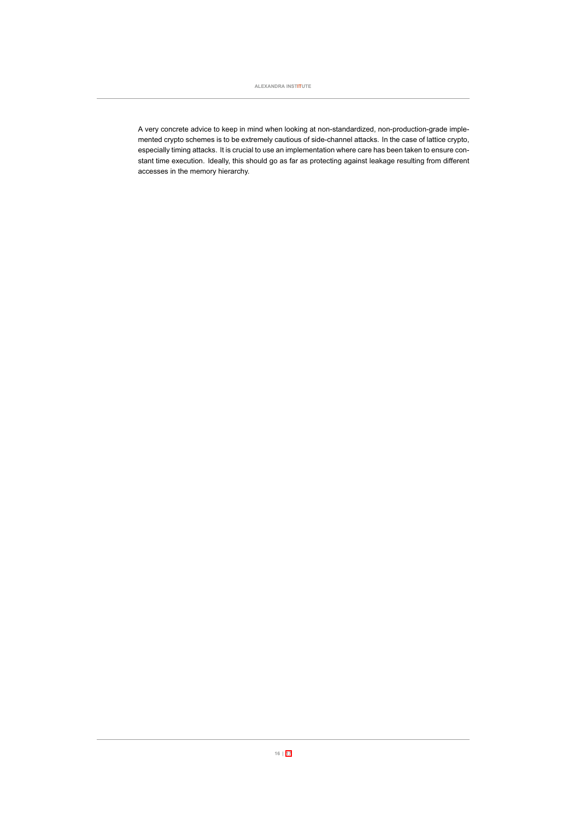A very concrete advice to keep in mind when looking at non-standardized, non-production-grade implemented crypto schemes is to be extremely cautious of side-channel attacks. In the case of lattice crypto, especially timing attacks. It is crucial to use an implementation where care has been taken to ensure constant time execution. Ideally, this should go as far as protecting against leakage resulting from different accesses in the memory hierarchy.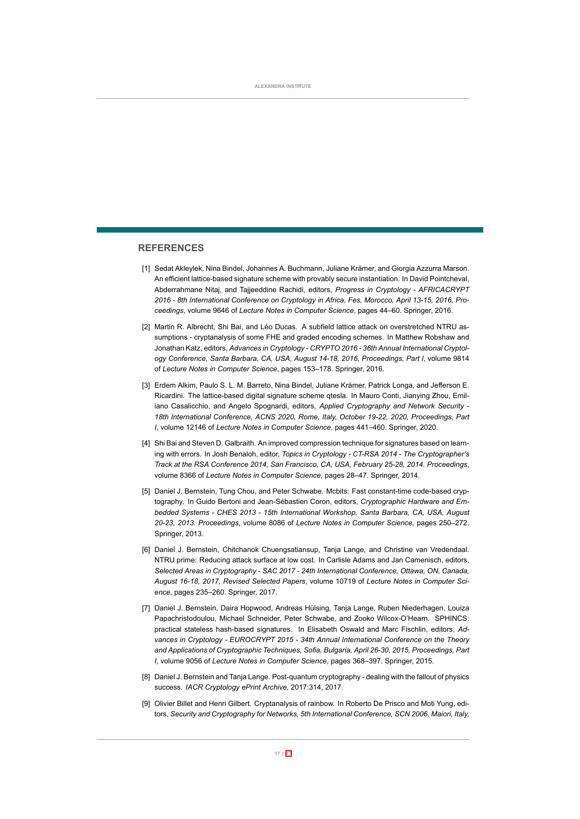# **REFERENCES**

- <span id="page-18-7"></span>[1] Sedat Akleylek, Nina Bindel, Johannes A. Buchmann, Juliane Krämer, and Giorgia Azzurra Marson. An efficient lattice-based signature scheme with provably secure instantiation. In David Pointcheval, Abderrahmane Nitaj, and Tajjeeddine Rachidi, editors, *Progress in Cryptology AFRICACRYPT* 2016 - 8th International Conference on Cryptology in Africa, Fes, Morocco, April 13-15, 2016, Pro*ceedings*, volume 9646 of *Lecture Notes in Computer Science*, pages 44–60. Springer, 2016.
- <span id="page-18-3"></span>[2] Martin R. Albrecht, Shi Bai, and Léo Ducas. A subfield lattice attack on overstretched NTRU assumptions cryptanalysis of some FHE and graded encoding schemes. In Matthew Robshaw and Jonathan Katz, editors, *Advances in Cryptology CRYPTO 2016 36th Annual International Cryptology Conference, Santa Barbara, CA, USA, August 1418, 2016, Proceedings, Part I*, volume 9814 of *Lecture Notes in Computer Science*, pages 153–178. Springer, 2016.
- <span id="page-18-8"></span>[3] Erdem Alkim, Paulo S. L. M. Barreto, Nina Bindel, Juliane Krämer, Patrick Longa, and Jefferson E. Ricardini. The lattice-based digital signature scheme qtesla. In Mauro Conti, Jianying Zhou, Emiliano Casalicchio, and Angelo Spognardi, editors, *Applied Cryptography and Network Security*  18th International Conference, ACNS 2020, Rome, Italy, October 19-22, 2020, Proceedings, Part *I*, volume 12146 of *Lecture Notes in Computer Science*, pages 441–460. Springer, 2020.
- <span id="page-18-6"></span>[4] Shi Bai and Steven D. Galbraith. An improved compression technique for signatures based on learning with errors. In Josh Benaloh, editor, *Topics in Cryptology CTRSA 2014 The Cryptographer's Track at the RSA Conference 2014, San Francisco, CA, USA, February 25-28, 2014, Proceedings,* volume 8366 of *Lecture Notes in Computer Science*, pages 28–47. Springer, 2014.
- <span id="page-18-1"></span>[5] Daniel J. Bernstein, Tung Chou, and Peter Schwabe. Mcbits: Fast constant-time code-based cryptography. In Guido Bertoni and Jean-Sébastien Coron, editors, Cryptographic Hardware and Em*bedded Systems CHES 2013 15th International Workshop, Santa Barbara, CA, USA, August 2023, 2013. Proceedings*, volume 8086 of *Lecture Notes in Computer Science*, pages 250–272. Springer, 2013.
- <span id="page-18-2"></span>[6] Daniel J. Bernstein, Chitchanok Chuengsatiansup, Tanja Lange, and Christine van Vredendaal. NTRU prime: Reducing attack surface at low cost. In Carlisle Adams and Jan Camenisch, editors, *Selected Areas in Cryptography SAC 2017 24th International Conference, Ottawa, ON, Canada, August 1618, 2017, Revised Selected Papers*, volume 10719 of *Lecture Notes in Computer Science*, pages 235–260. Springer, 2017.
- <span id="page-18-5"></span>[7] Daniel J. Bernstein, Daira Hopwood, Andreas Hülsing, Tanja Lange, Ruben Niederhagen, Louiza Papachristodoulou, Michael Schneider, Peter Schwabe, and Zooko Wilcox-O'Hearn. SPHINCS: practical stateless hash-based signatures. In Elisabeth Oswald and Marc Fischlin, editors, Ad*vances in Cryptology EUROCRYPT 2015 34th Annual International Conference on the Theory and Applications of Cryptographic Techniques, Sofia, Bulgaria, April 2630, 2015, Proceedings, Part I*, volume 9056 of *Lecture Notes in Computer Science*, pages 368–397. Springer, 2015.
- <span id="page-18-0"></span>[8] Daniel J. Bernstein and Tanja Lange. Post-quantum cryptography - dealing with the fallout of physics success. *IACR Cryptology ePrint Archive*, 2017:314, 2017.
- <span id="page-18-4"></span>[9] Olivier Billet and Henri Gilbert. Cryptanalysis of rainbow. In Roberto De Prisco and Moti Yung, editors, *Security and Cryptography for Networks, 5th International Conference, SCN 2006, Maiori, Italy,*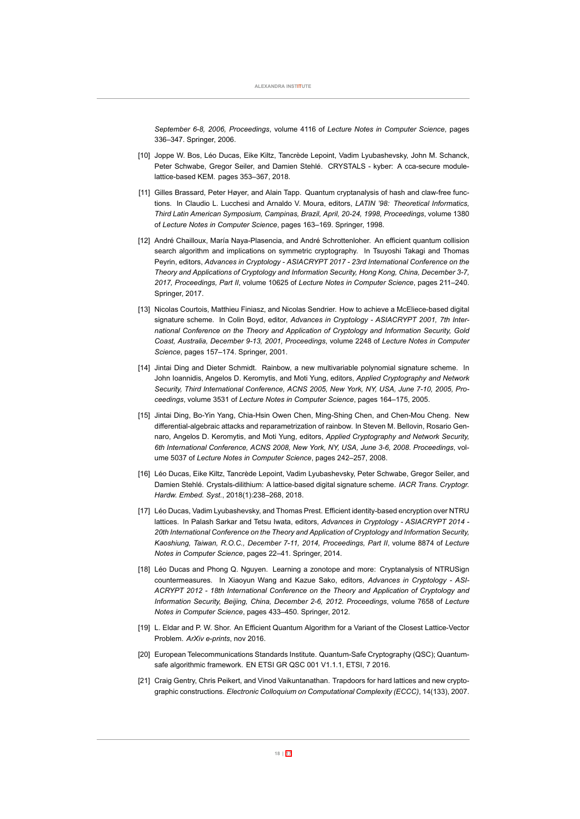*September 68, 2006, Proceedings*, volume 4116 of *Lecture Notes in Computer Science*, pages 336–347. Springer, 2006.

- <span id="page-19-6"></span>[10] Joppe W. Bos, Léo Ducas, Eike Kiltz, Tancrède Lepoint, Vadim Lyubashevsky, John M. Schanck, Peter Schwabe, Gregor Seiler, and Damien Stehlé. CRYSTALS - kyber: A cca-secure modulelattice-based KEM. pages 353-367, 2018.
- <span id="page-19-2"></span>[11] Gilles Brassard, Peter Høyer, and Alain Tapp. Quantum cryptanalysis of hash and claw-free functions. In Claudio L. Lucchesi and Arnaldo V. Moura, editors, *LATIN '98: Theoretical Informatics, Third Latin American Symposium, Campinas, Brazil, April, 2024, 1998, Proceedings*, volume 1380 of *Lecture Notes in Computer Science*, pages 163–169. Springer, 1998.
- <span id="page-19-1"></span>[12] André Chailloux, María Naya-Plasencia, and André Schrottenloher. An efficient quantum collision search algorithm and implications on symmetric cryptography. In Tsuyoshi Takagi and Thomas Peyrin, editors, *Advances in Cryptology ASIACRYPT 2017 23rd International Conference on the Theory and Applications of Cryptology and Information Security, Hong Kong, China, December 37, 2017, Proceedings, Part II*, volume 10625 of *Lecture Notes in Computer Science*, pages 211–240. Springer, 2017.
- <span id="page-19-4"></span>[13] Nicolas Courtois, Matthieu Finiasz, and Nicolas Sendrier. How to achieve a McEliece-based digital signature scheme. In Colin Boyd, editor, *Advances in Cryptology ASIACRYPT 2001, 7th International Conference on the Theory and Application of Cryptology and Information Security, Gold Coast, Australia, December 913, 2001, Proceedings*, volume 2248 of *Lecture Notes in Computer Science*, pages 157–174. Springer, 2001.
- <span id="page-19-8"></span>[14] Jintai Ding and Dieter Schmidt. Rainbow, a new multivariable polynomial signature scheme. In John Ioannidis, Angelos D. Keromytis, and Moti Yung, editors, *Applied Cryptography and Network* Security, Third International Conference, ACNS 2005, New York, NY, USA, June 7-10, 2005, Pro*ceedings*, volume 3531 of *Lecture Notes in Computer Science*, pages 164–175, 2005.
- <span id="page-19-9"></span>[15] Jintai Ding, Bo-Yin Yang, Chia-Hsin Owen Chen, Ming-Shing Chen, and Chen-Mou Cheng. New differential-algebraic attacks and reparametrization of rainbow. In Steven M. Bellovin, Rosario Gennaro, Angelos D. Keromytis, and Moti Yung, editors, *Applied Cryptography and Network Security, 6th International Conference, ACNS 2008, New York, NY, USA, June 36, 2008. Proceedings*, volume 5037 of *Lecture Notes in Computer Science*, pages 242–257, 2008.
- <span id="page-19-7"></span>[16] Léo Ducas, Eike Kiltz, Tancrède Lepoint, Vadim Lyubashevsky, Peter Schwabe, Gregor Seiler, and Damien Stehlé. Crystals-dilithium: A lattice-based digital signature scheme. *IACR Trans. Cryptogr. Hardw. Embed. Syst.*, 2018(1):238–268, 2018.
- <span id="page-19-11"></span>[17] Léo Ducas, Vadim Lyubashevsky, and Thomas Prest. Efficient identity-based encryption over NTRU lattices. In Palash Sarkar and Tetsu Iwata, editors, *Advances in Cryptology ASIACRYPT 2014 20th International Conference on the Theory and Application of Cryptology and Information Security, Kaoshiung, Taiwan, R.O.C., December 711, 2014, Proceedings, Part II*, volume 8874 of *Lecture Notes in Computer Science*, pages 22–41. Springer, 2014.
- <span id="page-19-5"></span>[18] Léo Ducas and Phong Q. Nguyen. Learning a zonotope and more: Cryptanalysis of NTRUSign countermeasures. In Xiaoyun Wang and Kazue Sako, editors, *Advances in Cryptology ASI-ACRYPT 2012 18th International Conference on the Theory and Application of Cryptology and Information Security, Beijing, China, December 26, 2012. Proceedings*, volume 7658 of *Lecture Notes in Computer Science*, pages 433–450. Springer, 2012.
- <span id="page-19-3"></span>[19] L. Eldar and P. W. Shor. An Efficient Quantum Algorithm for a Variant of the Closest Lattice-Vector Problem. ArXiv e-prints, nov 2016.
- <span id="page-19-0"></span>[20] European Telecommunications Standards Institute. Quantum-Safe Cryptography (QSC); Quantumsafe algorithmic framework. EN ETSI GR QSC 001 V1.1.1, ETSI, 7 2016.
- <span id="page-19-10"></span>[21] Craig Gentry, Chris Peikert, and Vinod Vaikuntanathan. Trapdoors for hard lattices and new cryptographic constructions. *Electronic Colloquium on Computational Complexity (ECCC)*, 14(133), 2007.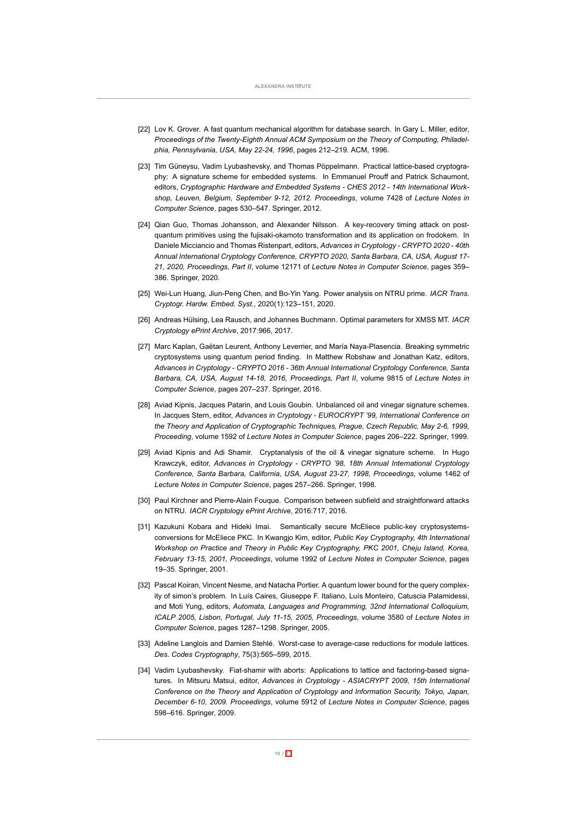- <span id="page-20-0"></span>[22] Lov K. Grover. A fast quantum mechanical algorithm for database search. In Gary L. Miller, editor, Proceedings of the Twenty-Eighth Annual ACM Symposium on the Theory of Computing, Philadel*phia, Pennsylvania, USA, May 2224, 1996*, pages 212–219. ACM, 1996.
- <span id="page-20-11"></span>[23] Tim Güneysu, Vadim Lyubashevsky, and Thomas Pöppelmann. Practical lattice-based cryptography: A signature scheme for embedded systems. In Emmanuel Prouff and Patrick Schaumont, editors, Cryptographic Hardware and Embedded Systems - CHES 2012 - 14th International Work*shop, Leuven, Belgium, September 912, 2012. Proceedings*, volume 7428 of *Lecture Notes in Computer Science*, pages 530–547. Springer, 2012.
- <span id="page-20-3"></span>[24] Qian Guo, Thomas Johansson, and Alexander Nilsson. A keyrecovery timing attack on postquantum primitives using the fujisaki-okamoto transformation and its application on frodokem. In Daniele Micciancio and Thomas Ristenpart, editors, *Advances in Cryptology CRYPTO 2020 40th Annual International Cryptology Conference, CRYPTO 2020, Santa Barbara, CA, USA, August 17 21, 2020, Proceedings, Part II*, volume 12171 of *Lecture Notes in Computer Science*, pages 359– 386. Springer, 2020.
- <span id="page-20-6"></span>[25] Wei-Lun Huang, Jiun-Peng Chen, and Bo-Yin Yang. Power analysis on NTRU prime. *IACR Trans. Cryptogr. Hardw. Embed. Syst.*, 2020(1):123–151, 2020.
- <span id="page-20-9"></span>[26] Andreas Hülsing, Lea Rausch, and Johannes Buchmann. Optimal parameters for XMSS MT. *IACR Cryptology ePrint Archive*, 2017:966, 2017.
- <span id="page-20-1"></span>[27] Marc Kaplan, Gaëtan Leurent, Anthony Leverrier, and María Naya-Plasencia. Breaking symmetric cryptosystems using quantum period finding. In Matthew Robshaw and Jonathan Katz, editors, *Advances in Cryptology CRYPTO 2016 36th Annual International Cryptology Conference, Santa Barbara, CA, USA, August 1418, 2016, Proceedings, Part II*, volume 9815 of *Lecture Notes in Computer Science*, pages 207–237. Springer, 2016.
- <span id="page-20-8"></span>[28] Aviad Kipnis, Jacques Patarin, and Louis Goubin. Unbalanced oil and vinegar signature schemes. In Jacques Stern, editor, *Advances in Cryptology EUROCRYPT '99, International Conference on the Theory and Application of Cryptographic Techniques, Prague, Czech Republic, May 26, 1999, Proceeding*, volume 1592 of *Lecture Notes in Computer Science*, pages 206–222. Springer, 1999.
- <span id="page-20-7"></span>[29] Aviad Kipnis and Adi Shamir. Cryptanalysis of the oil & vinegar signature scheme. In Hugo Krawczyk, editor, *Advances in Cryptology CRYPTO '98, 18th Annual International Cryptology* Conference, Santa Barbara, California, USA, August 23-27, 1998, Proceedings, volume 1462 of *Lecture Notes in Computer Science*, pages 257–266. Springer, 1998.
- <span id="page-20-5"></span>[30] Paul Kirchner and Pierre-Alain Fouque. Comparison between subfield and straightforward attacks on NTRU. *IACR Cryptology ePrint Archive*, 2016:717, 2016.
- <span id="page-20-4"></span>[31] Kazukuni Kobara and Hideki Imai. Semantically secure McEliece public-key cryptosystemsconversions for McEliece PKC. In Kwangjo Kim, editor, *Public Key Cryptography, 4th International Workshop on Practice and Theory in Public Key Cryptography, PKC 2001, Cheju Island, Korea, February 1315, 2001, Proceedings*, volume 1992 of *Lecture Notes in Computer Science*, pages 19–35. Springer, 2001.
- <span id="page-20-2"></span>[32] Pascal Koiran, Vincent Nesme, and Natacha Portier. A quantum lower bound for the query complexity of simon's problem. In Luís Caires, Giuseppe F. Italiano, Luís Monteiro, Catuscia Palamidessi, and Moti Yung, editors, *Automata, Languages and Programming, 32nd International Colloquium, ICALP 2005, Lisbon, Portugal, July 1115, 2005, Proceedings*, volume 3580 of *Lecture Notes in Computer Science*, pages 1287–1298. Springer, 2005.
- <span id="page-20-10"></span>[33] Adeline Langlois and Damien Stehlé. Worst-case to average-case reductions for module lattices. *Des. Codes Cryptography*, 75(3):565–599, 2015.
- <span id="page-20-12"></span>[34] Vadim Lyubashevsky. Fiat-shamir with aborts: Applications to lattice and factoring-based signatures. In Mitsuru Matsui, editor, *Advances in Cryptology ASIACRYPT 2009, 15th International Conference on the Theory and Application of Cryptology and Information Security, Tokyo, Japan, December 610, 2009. Proceedings*, volume 5912 of *Lecture Notes in Computer Science*, pages 598–616. Springer, 2009.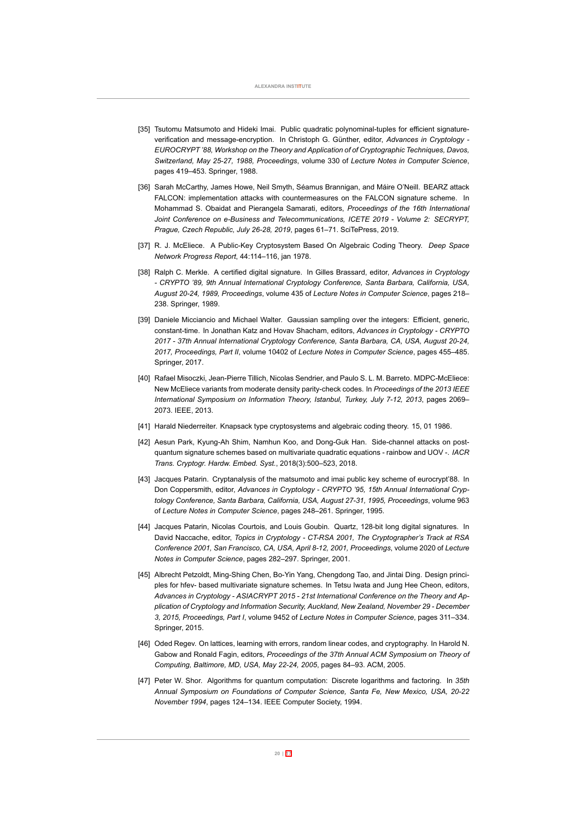- <span id="page-21-6"></span>[35] Tsutomu Matsumoto and Hideki Imai. Public quadratic polynominal-tuples for efficient signatureverification and message-encryption. In Christoph G. Günther, editor, *Advances in Cryptology* -*EUROCRYPT '88, Workshop on the Theory and Application of of Cryptographic Techniques, Davos, Switzerland, May 2527, 1988, Proceedings*, volume 330 of *Lecture Notes in Computer Science*, pages 419–453. Springer, 1988.
- <span id="page-21-12"></span>[36] Sarah McCarthy, James Howe, Neil Smyth, Séamus Brannigan, and Máire O'Neill. BEARZ attack FALCON: implementation attacks with countermeasures on the FALCON signature scheme. In Mohammad S. Obaidat and Pierangela Samarati, editors, *Proceedings of the 16th International Joint Conference on e-Business and Telecommunications, ICETE 2019 - Volume 2: SECRYPT, Prague, Czech Republic, July 2628, 2019*, pages 61–71. SciTePress, 2019.
- <span id="page-21-3"></span>[37] R. J. McEliece. A Public-Key Cryptosystem Based On Algebraic Coding Theory. *Deep Space Network Progress Report*, 44:114–116, jan 1978.
- <span id="page-21-11"></span>[38] Ralph C. Merkle. A certified digital signature. In Gilles Brassard, editor, *Advances in Cryptology CRYPTO '89, 9th Annual International Cryptology Conference, Santa Barbara, California, USA, August 2024, 1989, Proceedings*, volume 435 of *Lecture Notes in Computer Science*, pages 218– 238. Springer, 1989.
- <span id="page-21-2"></span>[39] Daniele Micciancio and Michael Walter. Gaussian sampling over the integers: Efficient, generic, constanttime. In Jonathan Katz and Hovav Shacham, editors, *Advances in Cryptology CRYPTO 2017 37th Annual International Cryptology Conference, Santa Barbara, CA, USA, August 2024, 2017, Proceedings, Part II*, volume 10402 of *Lecture Notes in Computer Science*, pages 455–485. Springer, 2017.
- <span id="page-21-5"></span>[40] Rafael Misoczki, Jean-Pierre Tillich, Nicolas Sendrier, and Paulo S. L. M. Barreto, MDPC-McEliece: New McEliece variants from moderate density parity-check codes. In *Proceedings of the 2013 IEEE* International Symposium on Information Theory, Istanbul, Turkey, July 7-12, 2013, pages 2069-2073. IEEE, 2013.
- <span id="page-21-8"></span><span id="page-21-4"></span>[41] Harald Niederreiter. Knapsack type cryptosystems and algebraic coding theory. 15, 01 1986.
- [42] Aesun Park, Kyung-Ah Shim, Namhun Koo, and Dong-Guk Han. Side-channel attacks on postquantum signature schemes based on multivariate quadratic equations rainbow and UOV . *IACR Trans. Cryptogr. Hardw. Embed. Syst.*, 2018(3):500–523, 2018.
- <span id="page-21-7"></span>[43] Jacques Patarin. Cryptanalysis of the matsumoto and imai public key scheme of eurocrypt'88. In Don Coppersmith, editor, *Advances in Cryptology CRYPTO '95, 15th Annual International Cryptology Conference, Santa Barbara, California, USA, August 2731, 1995, Proceedings*, volume 963 of *Lecture Notes in Computer Science*, pages 248–261. Springer, 1995.
- <span id="page-21-10"></span>[44] Jacques Patarin, Nicolas Courtois, and Louis Goubin. Quartz, 128-bit long digital signatures. In David Naccache, editor, *Topics in Cryptology CTRSA 2001, The Cryptographer's Track at RSA Conference 2001, San Francisco, CA, USA, April 812, 2001, Proceedings*, volume 2020 of *Lecture Notes in Computer Science*, pages 282–297. Springer, 2001.
- <span id="page-21-9"></span>[45] Albrecht Petzoldt, Ming-Shing Chen, Bo-Yin Yang, Chengdong Tao, and Jintai Ding. Design principles for hfev- based multivariate signature schemes. In Tetsu Iwata and Jung Hee Cheon, editors, *Advances in Cryptology ASIACRYPT 2015 21st International Conference on the Theory and Application of Cryptology and Information Security, Auckland, New Zealand, November 29 December 3, 2015, Proceedings, Part I*, volume 9452 of *Lecture Notes in Computer Science*, pages 311–334. Springer, 2015.
- <span id="page-21-1"></span>[46] Oded Regev. On lattices, learning with errors, random linear codes, and cryptography. In Harold N. Gabow and Ronald Fagin, editors, *Proceedings of the 37th Annual ACM Symposium on Theory of Computing, Baltimore, MD, USA, May 2224, 2005*, pages 84–93. ACM, 2005.
- <span id="page-21-0"></span>[47] Peter W. Shor. Algorithms for quantum computation: Discrete logarithms and factoring. In *35th Annual Symposium on Foundations of Computer Science, Santa Fe, New Mexico, USA, 2022 November 1994*, pages 124–134. IEEE Computer Society, 1994.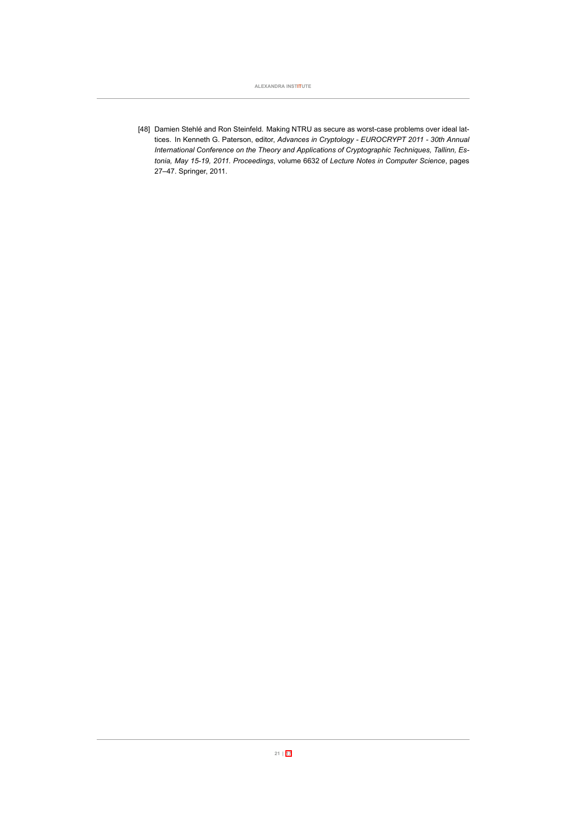**ALEXANDRA INSTITUTE**

<span id="page-22-0"></span>[48] Damien Stehlé and Ron Steinfeld. Making NTRU as secure as worst-case problems over ideal lattices. In Kenneth G. Paterson, editor, *Advances in Cryptology EUROCRYPT 2011 30th Annual International Conference on the Theory and Applications of Cryptographic Techniques, Tallinn, Estonia, May 1519, 2011. Proceedings*, volume 6632 of *Lecture Notes in Computer Science*, pages 27–47. Springer, 2011.